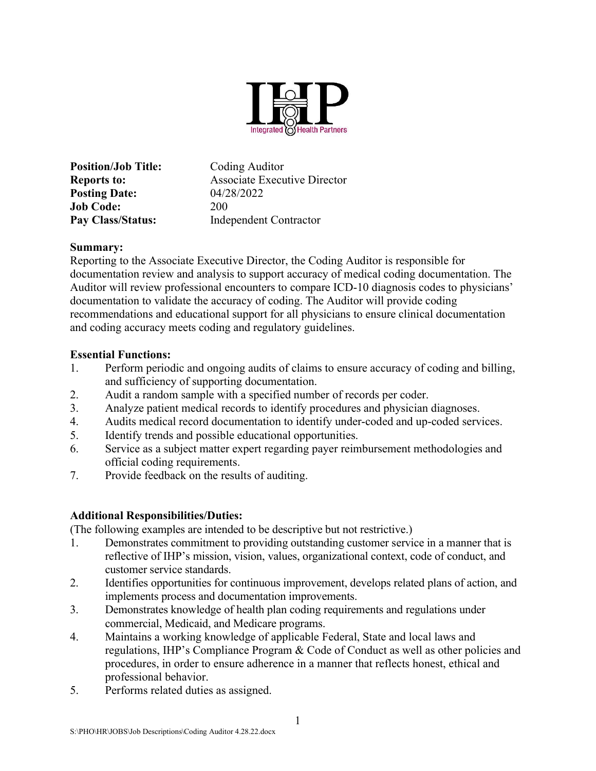

Position/Job Title: Coding Auditor Reports to: Associate Executive Director **Posting Date:** 04/28/2022 Job Code: 200 Pay Class/Status: Independent Contractor

## Summary:

Reporting to the Associate Executive Director, the Coding Auditor is responsible for documentation review and analysis to support accuracy of medical coding documentation. The Auditor will review professional encounters to compare ICD-10 diagnosis codes to physicians' documentation to validate the accuracy of coding. The Auditor will provide coding recommendations and educational support for all physicians to ensure clinical documentation and coding accuracy meets coding and regulatory guidelines.

## Essential Functions:

- 1. Perform periodic and ongoing audits of claims to ensure accuracy of coding and billing, and sufficiency of supporting documentation.
- 2. Audit a random sample with a specified number of records per coder.
- 3. Analyze patient medical records to identify procedures and physician diagnoses.
- 4. Audits medical record documentation to identify under-coded and up-coded services.
- 5. Identify trends and possible educational opportunities.
- 6. Service as a subject matter expert regarding payer reimbursement methodologies and official coding requirements.
- 7. Provide feedback on the results of auditing.

# Additional Responsibilities/Duties:

(The following examples are intended to be descriptive but not restrictive.)

- 1. Demonstrates commitment to providing outstanding customer service in a manner that is reflective of IHP's mission, vision, values, organizational context, code of conduct, and customer service standards.
- 2. Identifies opportunities for continuous improvement, develops related plans of action, and implements process and documentation improvements.
- 3. Demonstrates knowledge of health plan coding requirements and regulations under commercial, Medicaid, and Medicare programs.
- 4. Maintains a working knowledge of applicable Federal, State and local laws and regulations, IHP's Compliance Program & Code of Conduct as well as other policies and procedures, in order to ensure adherence in a manner that reflects honest, ethical and professional behavior.
- 5. Performs related duties as assigned.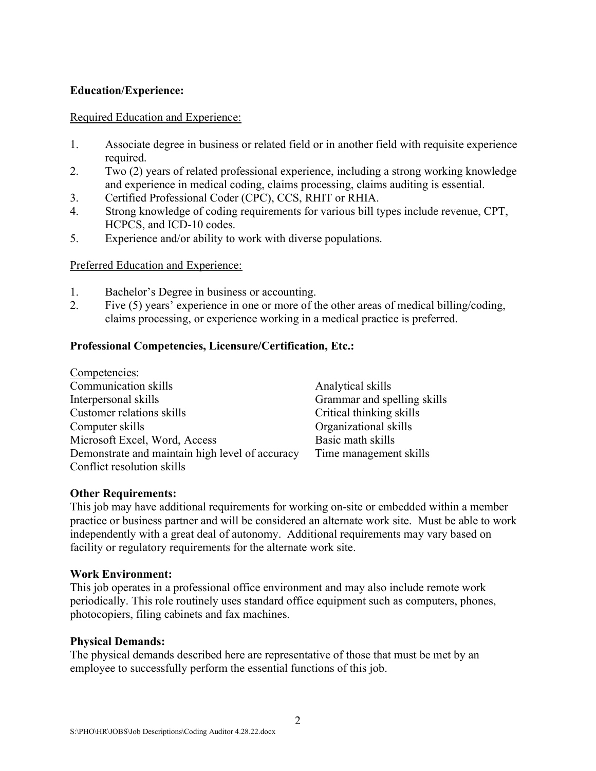## Education/Experience:

#### Required Education and Experience:

- 1. Associate degree in business or related field or in another field with requisite experience required.
- 2. Two (2) years of related professional experience, including a strong working knowledge and experience in medical coding, claims processing, claims auditing is essential.
- 3. Certified Professional Coder (CPC), CCS, RHIT or RHIA.
- 4. Strong knowledge of coding requirements for various bill types include revenue, CPT, HCPCS, and ICD-10 codes.
- 5. Experience and/or ability to work with diverse populations.

## Preferred Education and Experience:

- 1. Bachelor's Degree in business or accounting.
- 2. Five (5) years' experience in one or more of the other areas of medical billing/coding, claims processing, or experience working in a medical practice is preferred.

## Professional Competencies, Licensure/Certification, Etc.:

| Competencies:                                   |                             |
|-------------------------------------------------|-----------------------------|
| Communication skills                            | Analytical skills           |
| Interpersonal skills                            | Grammar and spelling skills |
| Customer relations skills                       | Critical thinking skills    |
| Computer skills                                 | Organizational skills       |
| Microsoft Excel, Word, Access                   | Basic math skills           |
| Demonstrate and maintain high level of accuracy | Time management skills      |
| Conflict resolution skills                      |                             |

#### Other Requirements:

This job may have additional requirements for working on-site or embedded within a member practice or business partner and will be considered an alternate work site. Must be able to work independently with a great deal of autonomy. Additional requirements may vary based on facility or regulatory requirements for the alternate work site.

#### Work Environment:

This job operates in a professional office environment and may also include remote work periodically. This role routinely uses standard office equipment such as computers, phones, photocopiers, filing cabinets and fax machines.

#### Physical Demands:

The physical demands described here are representative of those that must be met by an employee to successfully perform the essential functions of this job.